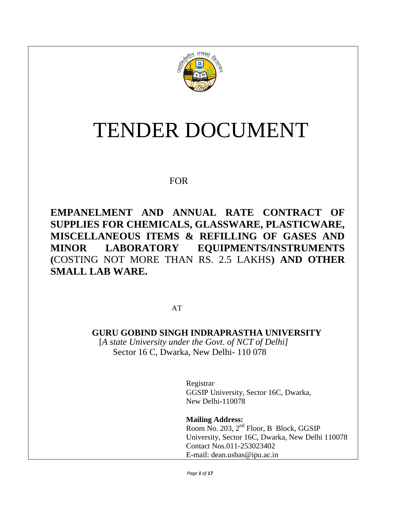

# TENDER DOCUMENT

# FOR

**EMPANELMENT AND ANNUAL RATE CONTRACT OF SUPPLIES FOR CHEMICALS, GLASSWARE, PLASTICWARE, MISCELLANEOUS ITEMS & REFILLING OF GASES AND MINOR LABORATORY EQUIPMENTS/INSTRUMENTS (**COSTING NOT MORE THAN RS. 2.5 LAKHS**) AND OTHER SMALL LAB WARE.**

AT

**GURU GOBIND SINGH INDRAPRASTHA UNIVERSITY** [*A state University under the Govt. of NCT of Delhi]* Sector 16 C, Dwarka, New Delhi- 110 078

> Registrar GGSIP University, Sector 16C, Dwarka, New Delhi-110078

**Mailing Address:** Room No. 203, 2nd Floor, B Block, GGSIP University, Sector 16C, Dwarka, New Delhi 110078 Contact Nos.011-253023402 E-mail: dean.usbas@ipu.ac.in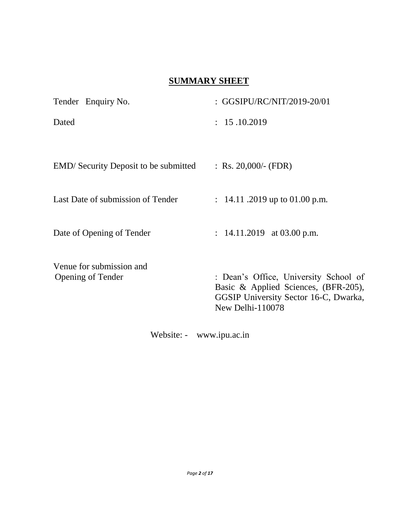# **SUMMARY SHEET**

| Tender Enquiry No.                                   | : GGSIPU/RC/NIT/2019-20/01                                                                                                                 |
|------------------------------------------------------|--------------------------------------------------------------------------------------------------------------------------------------------|
| Dated                                                | : 15.10.2019                                                                                                                               |
|                                                      |                                                                                                                                            |
| <b>EMD</b> / Security Deposit to be submitted        | : Rs. 20,000/- (FDR)                                                                                                                       |
| Last Date of submission of Tender                    | : $14.11$ .2019 up to 01.00 p.m.                                                                                                           |
| Date of Opening of Tender                            | : $14.11.2019$ at 03.00 p.m.                                                                                                               |
| Venue for submission and<br><b>Opening of Tender</b> | : Dean's Office, University School of<br>Basic & Applied Sciences, (BFR-205),<br>GGSIP University Sector 16-C, Dwarka,<br>New Delhi-110078 |

Website: - www.ipu.ac.in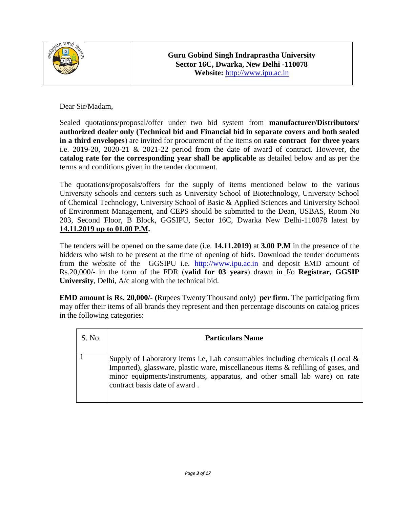

Dear Sir/Madam,

Sealed quotations/proposal/offer under two bid system from **manufacturer/Distributors/ authorized dealer only (Technical bid and Financial bid in separate covers and both sealed in a third envelopes**) are invited for procurement of the items on **rate contract for three years** i.e. 2019-20, 2020-21 & 2021-22 period from the date of award of contract. However, the **catalog rate for the corresponding year shall be applicable** as detailed below and as per the terms and conditions given in the tender document.

The quotations/proposals/offers for the supply of items mentioned below to the various University schools and centers such as University School of Biotechnology, University School of Chemical Technology, University School of Basic & Applied Sciences and University School of Environment Management, and CEPS should be submitted to the Dean, USBAS, Room No 203, Second Floor, B Block, GGSIPU, Sector 16C, Dwarka New Delhi-110078 latest by **14.11.2019 up to 01.00 P.M.**

The tenders will be opened on the same date (i.e. **14.11.2019)** at **3.00 P.M** in the presence of the bidders who wish to be present at the time of opening of bids. Download the tender documents from the website of the GGSIPU i.e. [http://www.ipu.ac.in](http://www.ipu.ac.i/) and deposit EMD amount of Rs.20,000/- in the form of the FDR (**valid for 03 years**) drawn in f/o **Registrar, GGSIP University**, Delhi, A/c along with the technical bid.

**EMD amount is Rs. 20,000/- (**Rupees Twenty Thousand only) **per firm.** The participating firm may offer their items of all brands they represent and then percentage discounts on catalog prices in the following categories:

| S. No. | <b>Particulars Name</b>                                                                                                                                                                                                                                                             |
|--------|-------------------------------------------------------------------------------------------------------------------------------------------------------------------------------------------------------------------------------------------------------------------------------------|
|        | Supply of Laboratory items i.e. Lab consumables including chemicals (Local $\&$<br>Imported), glassware, plastic ware, miscellaneous items & refilling of gases, and<br>minor equipments/instruments, apparatus, and other small lab ware) on rate<br>contract basis date of award. |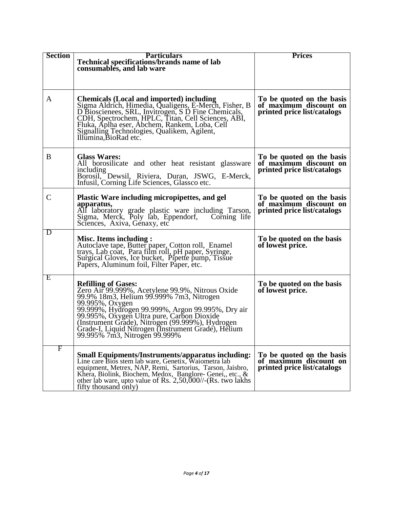| <b>Section</b> | <b>Particulars</b><br>Technical specifications/brands name of lab<br>consumables, and lab ware                                                                                                                                                                                                                                                                                               | <b>Prices</b>                                                                      |
|----------------|----------------------------------------------------------------------------------------------------------------------------------------------------------------------------------------------------------------------------------------------------------------------------------------------------------------------------------------------------------------------------------------------|------------------------------------------------------------------------------------|
| A              | <b>Chemicals (Local and imported) including</b><br>Sigma Aldrich, Himedia, Qualigens, E-Merch, Fisher, B<br>D Bioscienees, SRL, Invitrogen, S D Fine Chemicals, CDH, Spectrochem, HPLC, Titan, Cell Sciences, ABI,<br>Fluka, Aplha eser, Abchem, Rankem, Loba, Cell<br>Signalling Technologies, Qualikem, Agilent,<br>Illumina, BioRad etc.                                                  | To be quoted on the basis<br>of maximum discount on<br>printed price list/catalogs |
| B              | <b>Glass Wares:</b><br>All borosilicate and other heat resistant glassware<br>including<br>Borosil, Dewsil, Riviera, Duran, JSWG, E-Merck,<br>Infusil, Corning Life Sciences, Glassco etc.                                                                                                                                                                                                   | To be quoted on the basis<br>of maximum discount on<br>printed price list/catalogs |
| C              | Plastic Ware including micropipettes, and gel<br>apparatus,<br>All laboratory grade plastic ware including Tarson,<br>Sigma, Merck, Poly lab, Eppendorf, Corning life<br>Sciences, Axiva, Genaxy, etc                                                                                                                                                                                        | To be quoted on the basis<br>of maximum discount on<br>printed price list/catalogs |
| D              | <b>Misc. Items including:</b><br>Autoclave tape, Butter paper, Cotton roll, Enamel<br>trays, Lab coat, Para film roll, pH paper, Syringe,<br>Surgical Gloves, Ice bucket, Pipette pump, Tissue<br>Papers, Aluminum foil, Filter Paper, etc.                                                                                                                                                  | To be quoted on the basis<br>of lowest price.                                      |
| E              | <b>Refilling of Gases:</b><br>Zero Air 99.999%, Acetylene 99.9%, Nitrous Oxide<br>99.9% 18m3, Helium 99.999% 7m3, Nitrogen<br>99.995%, Oxygen<br>99.999%, Hydrogen 99.999%, Argon 99.995%, Dry air<br>99.995%, Oxygen Ultra pure, Carbon Dioxide<br>(Instrument Grade), Nitrogen (99.999%), Hydrogen<br>Grade-I, Liquid Nitrogen (Instrument Grade), Helium<br>99.995% 7m3, Nitrogen 99.999% | To be quoted on the basis<br>of lowest price.                                      |
| F              | <b>Small Equipments/Instruments/apparatus including:</b><br>Line care Bios stem lab ware, Genetix, Waiometra lab<br>equipment, Metrex, NAP, Remi, Sartorius, Tarson, Jaisbro,<br>Khera, Biolink, Biochem, Medox, Banglore-Genei,, etc., &<br>other lab ware, upto value of Rs. 2,50,000//-(Rs. two lakhs<br>fifty thousand only)                                                             | To be quoted on the basis<br>of maximum discount on<br>printed price list/catalogs |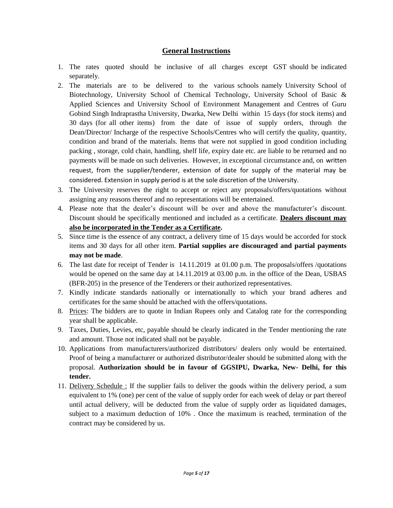#### **General Instructions**

- 1. The rates quoted should be inclusive of all charges except GST should be indicated separately.
- 2. The materials are to be delivered to the various schools namely University School of Biotechnology, University School of Chemical Technology, University School of Basic & Applied Sciences and University School of Environment Management and Centres of Guru Gobind Singh Indraprastha University, Dwarka, New Delhi within 15 days (for stock items) and 30 days (for all other items) from the date of issue of supply orders, through the Dean/Director/ Incharge of the respective Schools/Centres who will certify the quality, quantity, condition and brand of the materials. Items that were not supplied in good condition including packing , storage, cold chain, handling, shelf life, expiry date etc. are liable to be returned and no payments will be made on such deliveries. However, in exceptional circumstance and, on written request, from the supplier/tenderer, extension of date for supply of the material may be considered. Extension in supply period is at the sole discretion of the University.
- 3. The University reserves the right to accept or reject any proposals/offers/quotations without assigning any reasons thereof and no representations will be entertained.
- 4. Please note that the dealer's discount will be over and above the manufacturer's discount. Discount should be specifically mentioned and included as a certificate. **Dealers discount may also be incorporated in the Tender as a Certificate.**
- 5. Since time is the essence of any contract, a delivery time of 15 days would be accorded for stock items and 30 days for all other item. **Partial supplies are discouraged and partial payments may not be made**.
- 6. The last date for receipt of Tender is 14.11.2019 at 01.00 p.m. The proposals/offers /quotations would be opened on the same day at 14.11.2019 at 03.00 p.m. in the office of the Dean, USBAS (BFR-205) in the presence of the Tenderers or their authorized representatives.
- 7. Kindly indicate standards nationally or internationally to which your brand adheres and certificates for the same should be attached with the offers/quotations.
- 8. Prices: The bidders are to quote in Indian Rupees only and Catalog rate for the corresponding year shall be applicable.
- 9. Taxes, Duties, Levies, etc, payable should be clearly indicated in the Tender mentioning the rate and amount. Those not indicated shall not be payable.
- 10. Applications from manufacturers/authorized distributors/ dealers only would be entertained. Proof of being a manufacturer or authorized distributor/dealer should be submitted along with the proposal. **Authorization should be in favour of GGSIPU, Dwarka, New- Delhi, for this tender.**
- 11. Delivery Schedule : If the supplier fails to deliver the goods within the delivery period, a sum equivalent to 1% (one) per cent of the value of supply order for each week of delay or part thereof until actual delivery, will be deducted from the value of supply order as liquidated damages, subject to a maximum deduction of 10% . Once the maximum is reached, termination of the contract may be considered by us.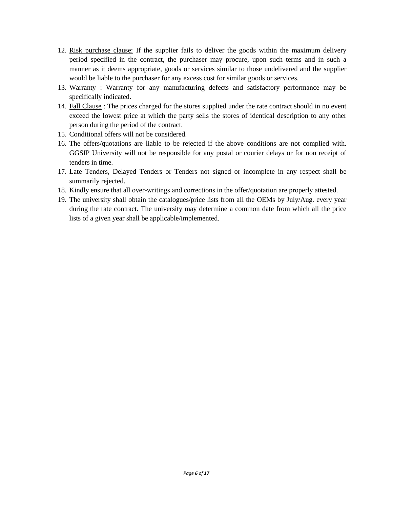- 12. Risk purchase clause: If the supplier fails to deliver the goods within the maximum delivery period specified in the contract, the purchaser may procure, upon such terms and in such a manner as it deems appropriate, goods or services similar to those undelivered and the supplier would be liable to the purchaser for any excess cost for similar goods or services.
- 13. Warranty : Warranty for any manufacturing defects and satisfactory performance may be specifically indicated.
- 14. Fall Clause : The prices charged for the stores supplied under the rate contract should in no event exceed the lowest price at which the party sells the stores of identical description to any other person during the period of the contract.
- 15. Conditional offers will not be considered.
- 16. The offers/quotations are liable to be rejected if the above conditions are not complied with. GGSIP University will not be responsible for any postal or courier delays or for non receipt of tenders in time.
- 17. Late Tenders, Delayed Tenders or Tenders not signed or incomplete in any respect shall be summarily rejected.
- 18. Kindly ensure that all over-writings and corrections in the offer/quotation are properly attested.
- 19. The university shall obtain the catalogues/price lists from all the OEMs by July/Aug. every year during the rate contract. The university may determine a common date from which all the price lists of a given year shall be applicable/implemented.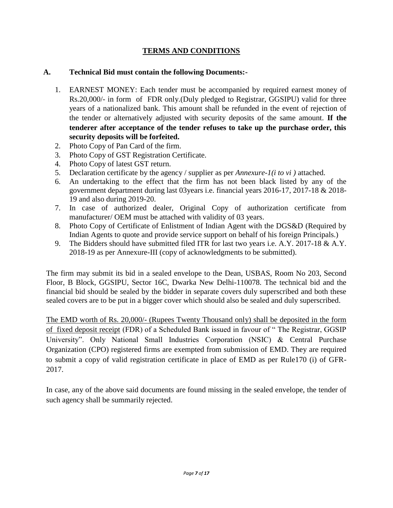## **TERMS AND CONDITIONS**

#### **A. Technical Bid must contain the following Documents:-**

- 1. EARNEST MONEY: Each tender must be accompanied by required earnest money of Rs.20,000/- in form of FDR only.(Duly pledged to Registrar, GGSIPU) valid for three years of a nationalized bank. This amount shall be refunded in the event of rejection of the tender or alternatively adjusted with security deposits of the same amount. **If the tenderer after acceptance of the tender refuses to take up the purchase order, this security deposits will be forfeited.**
- 2. Photo Copy of Pan Card of the firm.
- 3. Photo Copy of GST Registration Certificate.
- 4. Photo Copy of latest GST return.
- 5. Declaration certificate by the agency / supplier as per *Annexure-1(i to vi )* attached.
- 6. An undertaking to the effect that the firm has not been black listed by any of the government department during last 03years i.e. financial years 2016-17, 2017-18 & 2018- 19 and also during 2019-20.
- 7. In case of authorized dealer, Original Copy of authorization certificate from manufacturer/ OEM must be attached with validity of 03 years.
- 8. Photo Copy of Certificate of Enlistment of Indian Agent with the DGS&D (Required by Indian Agents to quote and provide service support on behalf of his foreign Principals.)
- 9. The Bidders should have submitted filed ITR for last two years i.e. A.Y. 2017-18 & A.Y. 2018-19 as per Annexure-III (copy of acknowledgments to be submitted).

The firm may submit its bid in a sealed envelope to the Dean, USBAS, Room No 203, Second Floor, B Block, GGSIPU, Sector 16C, Dwarka New Delhi-110078. The technical bid and the financial bid should be sealed by the bidder in separate covers duly superscribed and both these sealed covers are to be put in a bigger cover which should also be sealed and duly superscribed.

The EMD worth of Rs. 20,000/- (Rupees Twenty Thousand only) shall be deposited in the form of fixed deposit receipt (FDR) of a Scheduled Bank issued in favour of " The Registrar, GGSIP University". Only National Small Industries Corporation (NSIC) & Central Purchase Organization (CPO) registered firms are exempted from submission of EMD. They are required to submit a copy of valid registration certificate in place of EMD as per Rule170 (i) of GFR-2017.

In case, any of the above said documents are found missing in the sealed envelope, the tender of such agency shall be summarily rejected.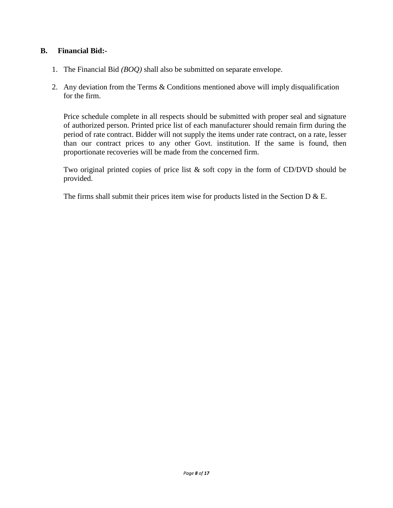#### **B. Financial Bid:-**

- 1. The Financial Bid *(BOQ)* shall also be submitted on separate envelope.
- 2. Any deviation from the Terms & Conditions mentioned above will imply disqualification for the firm.

Price schedule complete in all respects should be submitted with proper seal and signature of authorized person. Printed price list of each manufacturer should remain firm during the period of rate contract. Bidder will not supply the items under rate contract, on a rate, lesser than our contract prices to any other Govt. institution. If the same is found, then proportionate recoveries will be made from the concerned firm.

Two original printed copies of price list & soft copy in the form of CD/DVD should be provided.

The firms shall submit their prices item wise for products listed in the Section D  $\&$  E.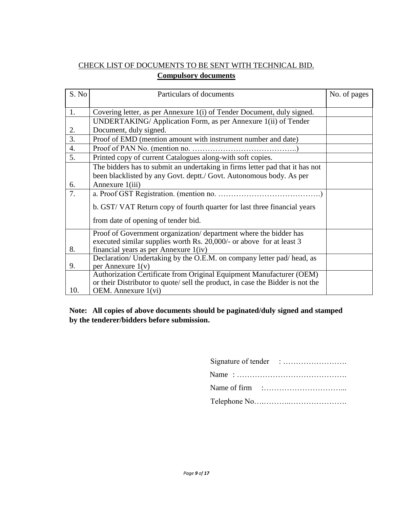# CHECK LIST OF DOCUMENTS TO BE SENT WITH TECHNICAL BID. **Compulsory documents**

| S. No            | Particulars of documents                                                      | No. of pages |
|------------------|-------------------------------------------------------------------------------|--------------|
|                  |                                                                               |              |
| 1.               | Covering letter, as per Annexure 1(i) of Tender Document, duly signed.        |              |
|                  | UNDERTAKING/Application Form, as per Annexure 1(ii) of Tender                 |              |
| 2.               | Document, duly signed.                                                        |              |
| 3.               | Proof of EMD (mention amount with instrument number and date)                 |              |
| $\overline{4}$ . |                                                                               |              |
| 5.               | Printed copy of current Catalogues along-with soft copies.                    |              |
|                  | The bidders has to submit an undertaking in firms letter pad that it has not  |              |
|                  | been blacklisted by any Govt. deptt./ Govt. Autonomous body. As per           |              |
| 6.               | Annexure 1(iii)                                                               |              |
| 7.               |                                                                               |              |
|                  | b. GST/VAT Return copy of fourth quarter for last three financial years       |              |
|                  | from date of opening of tender bid.                                           |              |
|                  | Proof of Government organization/department where the bidder has              |              |
|                  | executed similar supplies worth Rs. 20,000/- or above for at least 3          |              |
| 8.               | financial years as per Annexure $1(iv)$                                       |              |
|                  | Declaration/ Undertaking by the O.E.M. on company letter pad/head, as         |              |
| 9.               | per Annexure $1(v)$                                                           |              |
|                  | Authorization Certificate from Original Equipment Manufacturer (OEM)          |              |
|                  | or their Distributor to quote/sell the product, in case the Bidder is not the |              |
| 10.              | OEM. Annexure 1(vi)                                                           |              |

#### **Note: All copies of above documents should be paginated/duly signed and stamped by the tenderer/bidders before submission.**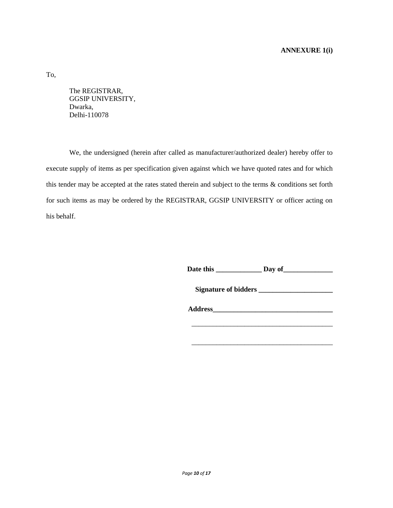#### **ANNEXURE 1(i)**

To,

The REGISTRAR, GGSIP UNIVERSITY, Dwarka, Delhi-110078

We, the undersigned (herein after called as manufacturer/authorized dealer) hereby offer to execute supply of items as per specification given against which we have quoted rates and for which this tender may be accepted at the rates stated therein and subject to the terms & conditions set forth for such items as may be ordered by the REGISTRAR, GGSIP UNIVERSITY or officer acting on his behalf.

**Date this \_\_\_\_\_\_\_\_\_\_\_\_\_ Day of\_\_\_\_\_\_\_\_\_\_\_\_\_\_**

**Signature of bidders \_\_\_\_\_\_\_\_\_\_\_\_\_\_\_\_\_\_\_\_\_**

**Address\_\_\_\_\_\_\_\_\_\_\_\_\_\_\_\_\_\_\_\_\_\_\_\_\_\_\_\_\_\_\_\_\_\_**

\_\_\_\_\_\_\_\_\_\_\_\_\_\_\_\_\_\_\_\_\_\_\_\_\_\_\_\_\_\_\_\_\_\_\_\_\_\_\_\_

\_\_\_\_\_\_\_\_\_\_\_\_\_\_\_\_\_\_\_\_\_\_\_\_\_\_\_\_\_\_\_\_\_\_\_\_\_\_\_\_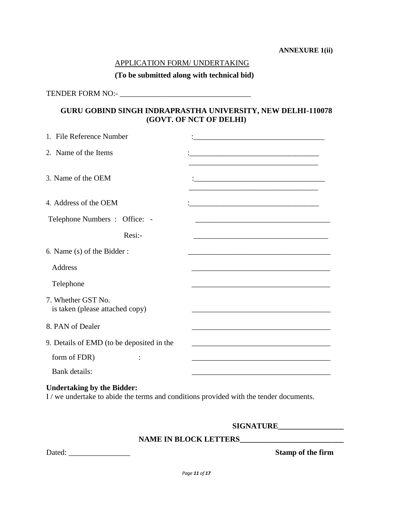#### **ANNEXURE 1(ii)**

#### APPLICATION FORM/ UNDERTAKING

#### **(To be submitted along with technical bid)**

TENDER FORM NO:- \_\_\_\_\_\_\_\_\_\_\_\_\_\_\_\_\_\_\_\_\_\_\_\_\_\_\_\_\_\_\_\_\_\_

# **GURU GOBIND SINGH INDRAPRASTHA UNIVERSITY, NEW DELHI-110078 (GOVT. OF NCT OF DELHI)**

| 1. File Reference Number                              |                                                                                                                      |
|-------------------------------------------------------|----------------------------------------------------------------------------------------------------------------------|
| 2. Name of the Items                                  |                                                                                                                      |
| 3. Name of the OEM                                    | <u> 1989 - Johann Barbara, martxa alemaniar argumento de la contrada de la contrada de la contrada de la contrad</u> |
| 4. Address of the OEM                                 |                                                                                                                      |
| Telephone Numbers : Office: -                         |                                                                                                                      |
| $Resi$ :-                                             |                                                                                                                      |
| 6. Name (s) of the Bidder:                            |                                                                                                                      |
| <b>Address</b>                                        |                                                                                                                      |
| Telephone                                             |                                                                                                                      |
| 7. Whether GST No.<br>is taken (please attached copy) |                                                                                                                      |
| 8. PAN of Dealer                                      | <u> 1989 - Johann John Stoff, deutscher Stoffen und der Stoffen und der Stoffen und der Stoffen und der Stoffen</u>  |
| 9. Details of EMD (to be deposited in the             |                                                                                                                      |
| form of FDR)                                          | the control of the control of the control of the control of the control of the control of                            |
| Bank details:                                         |                                                                                                                      |
|                                                       |                                                                                                                      |

#### **Undertaking by the Bidder:**

I / we undertake to abide the terms and conditions provided with the tender documents.

#### **SIGNATURE\_\_\_\_\_\_\_\_\_\_\_\_\_\_\_\_\_**

#### **NAME IN BLOCK LETTERS\_\_\_\_\_\_\_\_\_\_\_\_\_\_\_\_\_\_\_\_\_\_\_\_\_\_\_**

Dated: \_\_\_\_\_\_\_\_\_\_\_\_\_\_\_\_ **Stamp of the firm**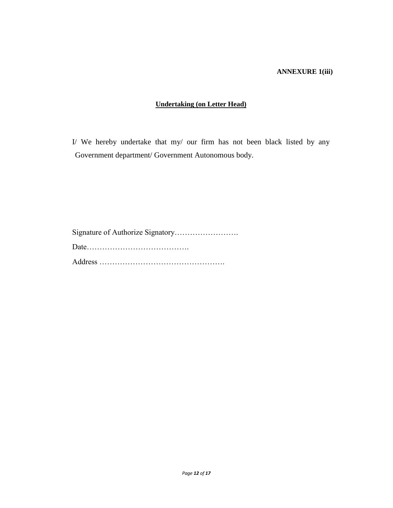#### **ANNEXURE 1(iii)**

#### **Undertaking (on Letter Head)**

I/ We hereby undertake that my/ our firm has not been black listed by any Government department/ Government Autonomous body.

Signature of Authorize Signatory……………………. Date…………………………………. Address ………………………………………….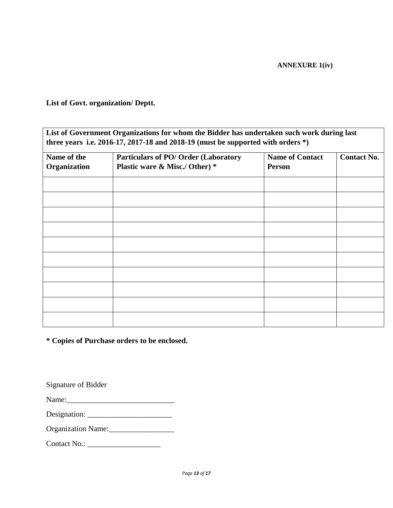#### **ANNEXURE 1(iv)**

**List of Govt. organization/ Deptt.**

| List of Government Organizations for whom the Bidder has undertaken such work during last |
|-------------------------------------------------------------------------------------------|
| three years i.e. 2016-17, 2017-18 and 2018-19 (must be supported with orders $*)$ )       |

| Name of the<br>Organization | <b>Particulars of PO/ Order (Laboratory</b><br>Plastic ware & Misc./ Other) * | <b>Name of Contact</b><br><b>Person</b> | <b>Contact No.</b> |
|-----------------------------|-------------------------------------------------------------------------------|-----------------------------------------|--------------------|
|                             |                                                                               |                                         |                    |
|                             |                                                                               |                                         |                    |
|                             |                                                                               |                                         |                    |
|                             |                                                                               |                                         |                    |
|                             |                                                                               |                                         |                    |
|                             |                                                                               |                                         |                    |
|                             |                                                                               |                                         |                    |
|                             |                                                                               |                                         |                    |
|                             |                                                                               |                                         |                    |
|                             |                                                                               |                                         |                    |

**\* Copies of Purchase orders to be enclosed.**

Signature of Bidder

Name:\_\_\_\_\_\_\_\_\_\_\_\_\_\_\_\_\_\_\_\_\_\_\_\_\_\_\_\_

Designation: \_\_\_\_\_\_\_\_\_\_\_\_\_\_\_\_\_\_\_\_\_\_

Organization Name:

Contact No.: \_\_\_\_\_\_\_\_\_\_\_\_\_\_\_\_\_\_\_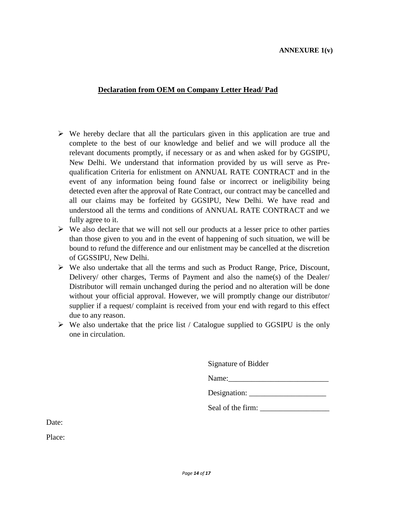#### **ANNEXURE 1(v)**

#### **Declaration from OEM on Company Letter Head/ Pad**

- $\triangleright$  We hereby declare that all the particulars given in this application are true and complete to the best of our knowledge and belief and we will produce all the relevant documents promptly, if necessary or as and when asked for by GGSIPU, New Delhi. We understand that information provided by us will serve as Prequalification Criteria for enlistment on ANNUAL RATE CONTRACT and in the event of any information being found false or incorrect or ineligibility being detected even after the approval of Rate Contract, our contract may be cancelled and all our claims may be forfeited by GGSIPU, New Delhi. We have read and understood all the terms and conditions of ANNUAL RATE CONTRACT and we fully agree to it.
- $\triangleright$  We also declare that we will not sell our products at a lesser price to other parties than those given to you and in the event of happening of such situation, we will be bound to refund the difference and our enlistment may be cancelled at the discretion of GGSSIPU, New Delhi.
- $\triangleright$  We also undertake that all the terms and such as Product Range, Price, Discount, Delivery/ other charges, Terms of Payment and also the name(s) of the Dealer/ Distributor will remain unchanged during the period and no alteration will be done without your official approval. However, we will promptly change our distributor/ supplier if a request/ complaint is received from your end with regard to this effect due to any reason.
- $\triangleright$  We also undertake that the price list / Catalogue supplied to GGSIPU is the only one in circulation.

Signature of Bidder

Name:

Designation: \_\_\_\_\_\_\_\_\_\_\_\_\_\_\_\_\_\_\_\_

Seal of the firm: \_\_\_\_\_\_\_\_\_\_\_\_\_\_\_\_\_\_

Date:

Place: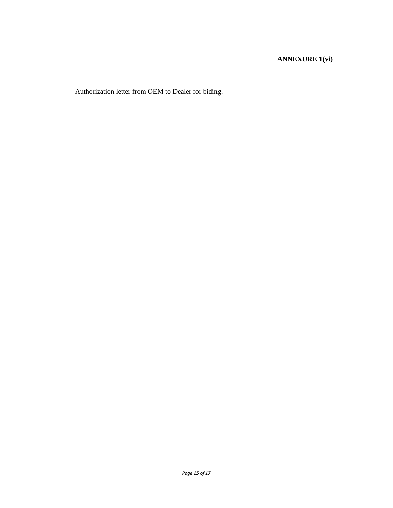### **ANNEXURE 1(vi)**

Authorization letter from OEM to Dealer for biding.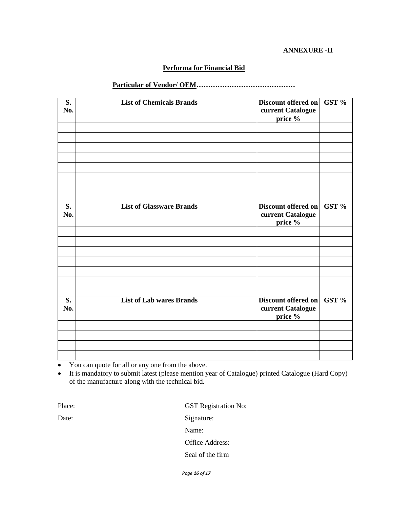#### **ANNEXURE -II**

#### **Performa for Financial Bid**

#### **Particular of Vendor/ OEM……………………………………**

| S.<br>No. | <b>List of Chemicals Brands</b> | Discount offered on<br>current Catalogue<br>price %        | GST % |
|-----------|---------------------------------|------------------------------------------------------------|-------|
| S.<br>No. | <b>List of Glassware Brands</b> | Discount offered on<br>current Catalogue<br>price %        | GST % |
|           |                                 |                                                            |       |
| S.<br>No. | <b>List of Lab wares Brands</b> | <b>Discount offered on</b><br>current Catalogue<br>price % | GST%  |
|           |                                 |                                                            |       |

• You can quote for all or any one from the above.

 It is mandatory to submit latest (please mention year of Catalogue) printed Catalogue (Hard Copy) of the manufacture along with the technical bid.

Place: GST Registration No: Date: Signature: Name: Office Address: Seal of the firm